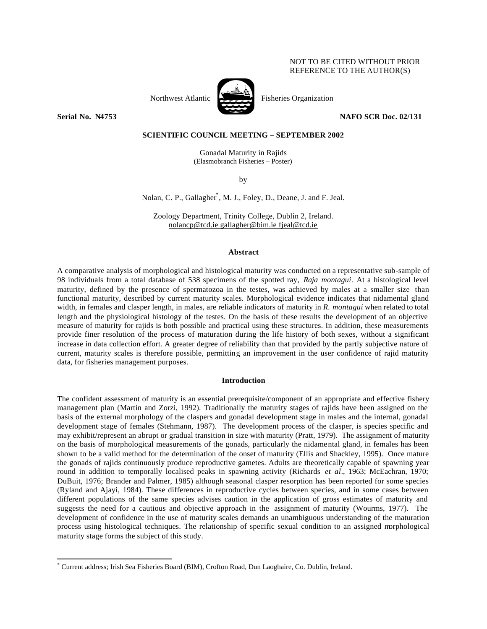# NOT TO BE CITED WITHOUT PRIOR REFERENCE TO THE AUTHOR(S)



Northwest Atlantic Fisheries Organization

**Serial No. N4753 NAFO SCR Doc. 02/131** 

# **SCIENTIFIC COUNCIL MEETING – SEPTEMBER 2002**

Gonadal Maturity in Rajids (Elasmobranch Fisheries – Poster)

by

Nolan, C. P., Gallagher\* , M. J., Foley, D., Deane, J. and F. Jeal.

Zoology Department, Trinity College, Dublin 2, Ireland. nolancp@tcd.ie gallagher@bim.ie fjeal@tcd.ie

### **Abstract**

A comparative analysis of morphological and histological maturity was conducted on a representative sub-sample of 98 individuals from a total database of 538 specimens of the spotted ray, *Raja montagui*. At a histological level maturity, defined by the presence of spermatozoa in the testes, was achieved by males at a smaller size than functional maturity, described by current maturity scales. Morphological evidence indicates that nidamental gland width, in females and clasper length, in males, are reliable indicators of maturity in *R. montagui* when related to total length and the physiological histology of the testes. On the basis of these results the development of an objective measure of maturity for rajids is both possible and practical using these structures. In addition, these measurements provide finer resolution of the process of maturation during the life history of both sexes, without a significant increase in data collection effort. A greater degree of reliability than that provided by the partly subjective nature of current, maturity scales is therefore possible, permitting an improvement in the user confidence of rajid maturity data, for fisheries management purposes.

## **Introduction**

The confident assessment of maturity is an essential prerequisite/component of an appropriate and effective fishery management plan (Martin and Zorzi, 1992). Traditionally the maturity stages of rajids have been assigned on the basis of the external morphology of the claspers and gonadal development stage in males and the internal, gonadal development stage of females (Stehmann, 1987). The development process of the clasper, is species specific and may exhibit/represent an abrupt or gradual transition in size with maturity (Pratt, 1979). The assignment of maturity on the basis of morphological measurements of the gonads, particularly the nidamental gland, in females has been shown to be a valid method for the determination of the onset of maturity (Ellis and Shackley, 1995). Once mature the gonads of rajids continuously produce reproductive gametes. Adults are theoretically capable of spawning year round in addition to temporally localised peaks in spawning activity (Richards *et al*., 1963; McEachran, 1970; DuBuit, 1976; Brander and Palmer, 1985) although seasonal clasper resorption has been reported for some species (Ryland and Ajayi, 1984). These differences in reproductive cycles between species, and in some cases between different populations of the same species advises caution in the application of gross estimates of maturity and suggests the need for a cautious and objective approach in the assignment of maturity (Wourms, 1977). The development of confidence in the use of maturity scales demands an unambiguous understanding of the maturation process using histological techniques. The relationship of specific sexual condition to an assigned morphological maturity stage forms the subject of this study.

 $\overline{a}$ 

<sup>\*</sup> Current address; Irish Sea Fisheries Board (BIM), Crofton Road, Dun Laoghaire, Co. Dublin, Ireland.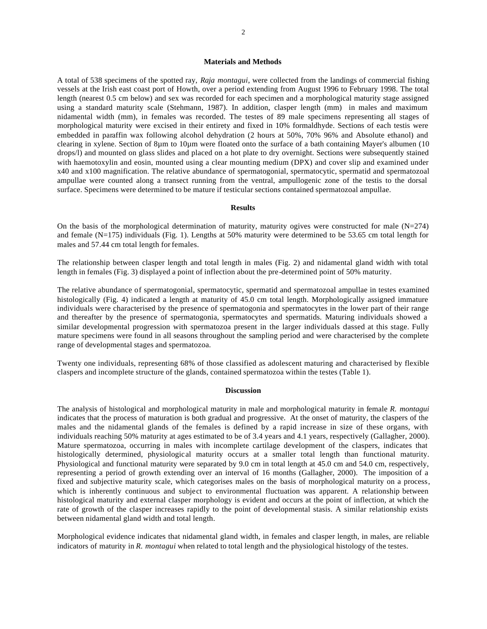## **Materials and Methods**

A total of 538 specimens of the spotted ray, *Raja montagui*, were collected from the landings of commercial fishing vessels at the Irish east coast port of Howth, over a period extending from August 1996 to February 1998. The total length (nearest 0.5 cm below) and sex was recorded for each specimen and a morphological maturity stage assigned using a standard maturity scale (Stehmann, 1987). In addition, clasper length (mm) in males and maximum nidamental width (mm), in females was recorded. The testes of 89 male specimens representing all stages of morphological maturity were excised in their entirety and fixed in 10% formaldhyde. Sections of each testis were embedded in paraffin wax following alcohol dehydration (2 hours at 50%, 70% 96% and Absolute ethanol) and clearing in xylene. Section of 8µm to 10µm were floated onto the surface of a bath containing Mayer's albumen (10 drops/l) and mounted on glass slides and placed on a hot plate to dry overnight. Sections were subsequently stained with haemotoxylin and eosin, mounted using a clear mounting medium (DPX) and cover slip and examined under x40 and x100 magnification. The relative abundance of spermatogonial, spermatocytic, spermatid and spermatozoal ampullae were counted along a transect running from the ventral, ampullogenic zone of the testis to the dorsal surface. Specimens were determined to be mature if testicular sections contained spermatozoal ampullae.

### **Results**

On the basis of the morphological determination of maturity, maturity ogives were constructed for male  $(N=274)$ and female (N=175) individuals (Fig. 1). Lengths at 50% maturity were determined to be 53.65 cm total length for males and 57.44 cm total length for females.

The relationship between clasper length and total length in males (Fig. 2) and nidamental gland width with total length in females (Fig. 3) displayed a point of inflection about the pre-determined point of 50% maturity.

The relative abundance of spermatogonial, spermatocytic, spermatid and spermatozoal ampullae in testes examined histologically (Fig. 4) indicated a length at maturity of 45.0 cm total length. Morphologically assigned immature individuals were characterised by the presence of spermatogonia and spermatocytes in the lower part of their range and thereafter by the presence of spermatogonia, spermatocytes and spermatids. Maturing individuals showed a similar developmental progression with spermatozoa present in the larger individuals classed at this stage. Fully mature specimens were found in all seasons throughout the sampling period and were characterised by the complete range of developmental stages and spermatozoa.

Twenty one individuals, representing 68% of those classified as adolescent maturing and characterised by flexible claspers and incomplete structure of the glands, contained spermatozoa within the testes (Table 1).

### **Discussion**

The analysis of histological and morphological maturity in male and morphological maturity in female *R. montagui* indicates that the process of maturation is both gradual and progressive. At the onset of maturity, the claspers of the males and the nidamental glands of the females is defined by a rapid increase in size of these organs, with individuals reaching 50% maturity at ages estimated to be of 3.4 years and 4.1 years, respectively (Gallagher, 2000). Mature spermatozoa, occurring in males with incomplete cartilage development of the claspers, indicates that histologically determined, physiological maturity occurs at a smaller total length than functional maturity. Physiological and functional maturity were separated by 9.0 cm in total length at 45.0 cm and 54.0 cm, respectively, representing a period of growth extending over an interval of 16 months (Gallagher, 2000). The imposition of a fixed and subjective maturity scale, which categorises males on the basis of morphological maturity on a process, which is inherently continuous and subject to environmental fluctuation was apparent. A relationship between histological maturity and external clasper morphology is evident and occurs at the point of inflection, at which the rate of growth of the clasper increases rapidly to the point of developmental stasis. A similar relationship exists between nidamental gland width and total length.

Morphological evidence indicates that nidamental gland width, in females and clasper length, in males, are reliable indicators of maturity in *R. montagui* when related to total length and the physiological histology of the testes.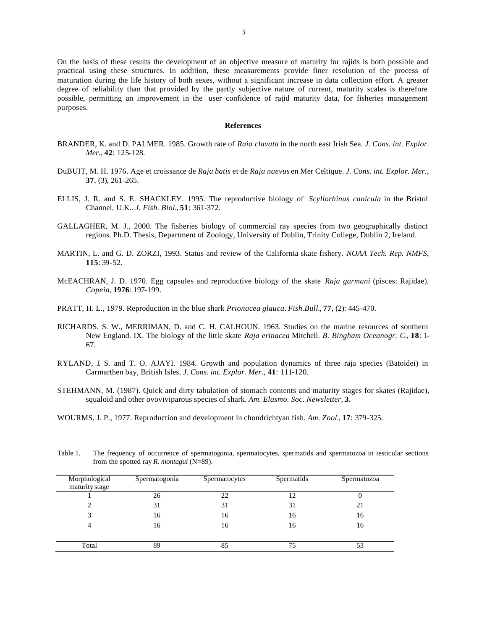On the basis of these results the development of an objective measure of maturity for rajids is both possible and practical using these structures. In addition, these measurements provide finer resolution of the process of maturation during the life history of both sexes, without a significant increase in data collection effort. A greater degree of reliability than that provided by the partly subjective nature of current, maturity scales is therefore possible, permitting an improvement in the user confidence of rajid maturity data, for fisheries management purposes.

### **References**

- BRANDER, K. and D. PALMER. 1985. Growth rate of *Raia clavata* in the north east Irish Sea. *J. Cons. int. Explor. Mer.*, **42**: 125-128.
- DuBUIT, M. H. 1976. Age et croissance de *Raja batis* et de *Raja naevus* en Mer Celtique. *J. Cons. int. Explor. Mer.*, **37**, (3), 261-265.
- ELLIS, J. R. and S. E. SHACKLEY. 1995. The reproductive biology of *Scyliorhinus canicula* in the Bristol Channel, U.K.. *J. Fish. Biol.*, **51**: 361-372.
- GALLAGHER, M. J., 2000. The fisheries biology of commercial ray species from two geographically distinct regions. Ph.D. Thesis, Department of Zoology, University of Dublin, Trinity College, Dublin 2, Ireland.
- MARTIN, L. and G. D. ZORZI, 1993. Status and review of the California skate fishery. *NOAA Tech. Rep. NMFS*, **115**: 39-52.
- McEACHRAN, J. D. 1970. Egg capsules and reproductive biology of the skate *Raja garmani* (pisces: Rajidae). *Copeia*, **1976**: 197-199.
- PRATT, H. L., 1979. Reproduction in the blue shark *Prionacea glauca*. *Fish.Bull.*, **77**, (2): 445-470.
- RICHARDS, S. W., MERRIMAN, D. and C. H. CALHOUN. 1963. Studies on the marine resources of southern New England. IX. The biology of the little skate *Raja erinacea* Mitchell. *B. Bingham Oceanogr. C.*, **18**: 1- 67.
- RYLAND, J. S. and T. O. AJAYI. 1984. Growth and population dynamics of three raja species (Batoidei) in Carmarthen bay, British Isles. *J. Cons. int. Explor. Mer.*, **41**: 111-120.
- STEHMANN, M. (1987). Quick and dirty tabulation of stomach contents and maturity stages for skates (Rajidae), squaloid and other ovoviviparous species of shark. *Am. Elasmo. Soc. Newsletter*, **3**.
- WOURMS, J. P., 1977. Reproduction and development in chondrichtyan fish. *Am. Zool.*, **17**: 379-325.

| Morphological<br>maturity stage | Spermatogonia | Spermatocytes | Spermatids | Spermatozoa |
|---------------------------------|---------------|---------------|------------|-------------|
|                                 | 26            | 22            | 12         |             |
|                                 | 31            | 31            | 31         | 21          |
|                                 | 16            | 16            | 16         | 16          |
| 4                               | 16            | 16            | 16         | 16          |
| Total                           | 89            | 85            | 75         | 53          |

Table 1. The frequency of occurrence of spermatogonia, spermatocytes, spermatids and spermatozoa in testicular sections from the spotted ray *R. montagui* (N=89).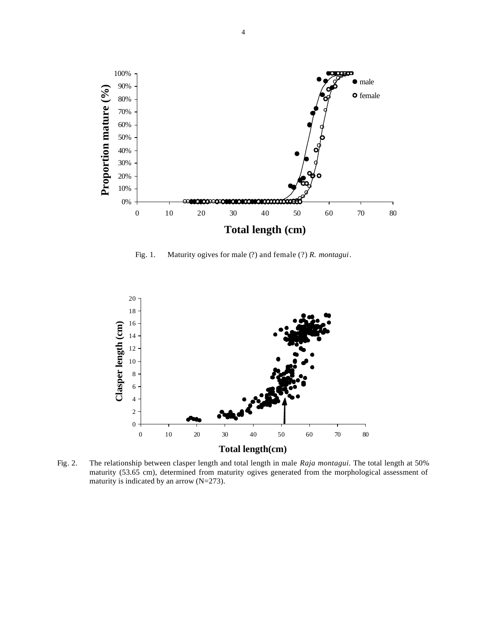

Fig. 1. Maturity ogives for male (?) and female (?) *R. montagui*.



Fig. 2. The relationship between clasper length and total length in male *Raja montagui*. The total length at 50% maturity (53.65 cm), determined from maturity ogives generated from the morphological assessment of maturity is indicated by an arrow (N=273).